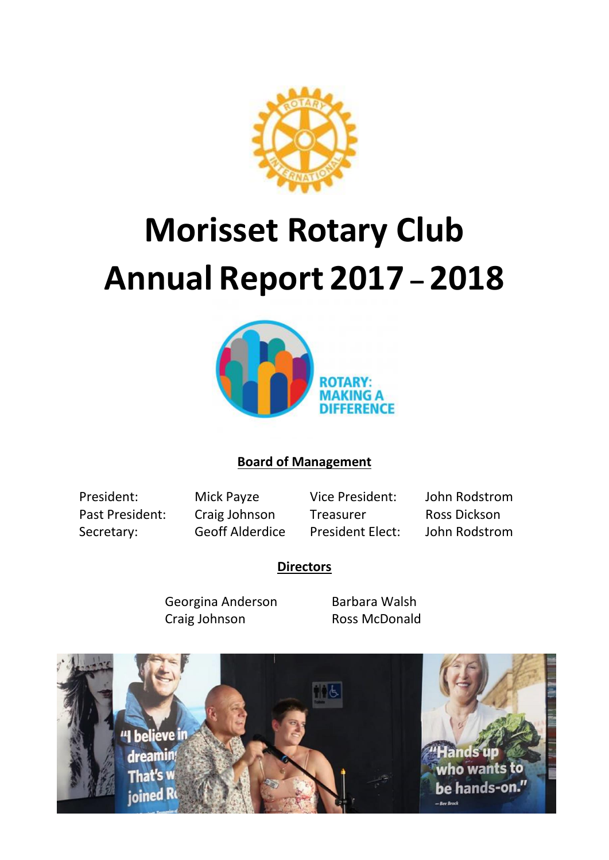

# **Morisset Rotary Club Annual Report 2017 – 2018**



# **Board of Management**

Past President: Craig Johnson Treasurer Ross Dickson Secretary: Geoff Alderdice President Elect: John Rodstrom

President: Mick Payze Vice President: John Rodstrom

## **Directors**

Georgina Anderson Barbara Walsh Craig Johnson Ross McDonald

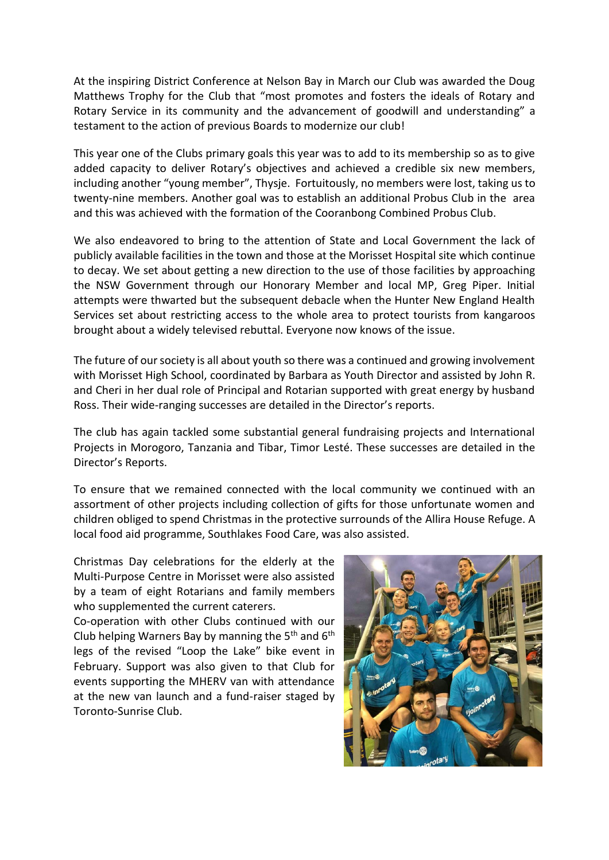At the inspiring District Conference at Nelson Bay in March our Club was awarded the Doug Matthews Trophy for the Club that "most promotes and fosters the ideals of Rotary and Rotary Service in its community and the advancement of goodwill and understanding" a testament to the action of previous Boards to modernize our club!

This year one of the Clubs primary goals this year was to add to its membership so as to give added capacity to deliver Rotary's objectives and achieved a credible six new members, including another "young member", Thysje. Fortuitously, no members were lost, taking us to twenty-nine members. Another goal was to establish an additional Probus Club in the area and this was achieved with the formation of the Cooranbong Combined Probus Club.

We also endeavored to bring to the attention of State and Local Government the lack of publicly available facilities in the town and those at the Morisset Hospital site which continue to decay. We set about getting a new direction to the use of those facilities by approaching the NSW Government through our Honorary Member and local MP, Greg Piper. Initial attempts were thwarted but the subsequent debacle when the Hunter New England Health Services set about restricting access to the whole area to protect tourists from kangaroos brought about a widely televised rebuttal. Everyone now knows of the issue.

The future of our society is all about youth so there was a continued and growing involvement with Morisset High School, coordinated by Barbara as Youth Director and assisted by John R. and Cheri in her dual role of Principal and Rotarian supported with great energy by husband Ross. Their wide-ranging successes are detailed in the Director's reports.

The club has again tackled some substantial general fundraising projects and International Projects in Morogoro, Tanzania and Tibar, Timor Lesté. These successes are detailed in the Director's Reports.

To ensure that we remained connected with the local community we continued with an assortment of other projects including collection of gifts for those unfortunate women and children obliged to spend Christmas in the protective surrounds of the Allira House Refuge. A local food aid programme, Southlakes Food Care, was also assisted.

Christmas Day celebrations for the elderly at the Multi-Purpose Centre in Morisset were also assisted by a team of eight Rotarians and family members who supplemented the current caterers.

Co-operation with other Clubs continued with our Club helping Warners Bay by manning the 5<sup>th</sup> and 6<sup>th</sup> legs of the revised "Loop the Lake" bike event in February. Support was also given to that Club for events supporting the MHERV van with attendance at the new van launch and a fund-raiser staged by Toronto-Sunrise Club.

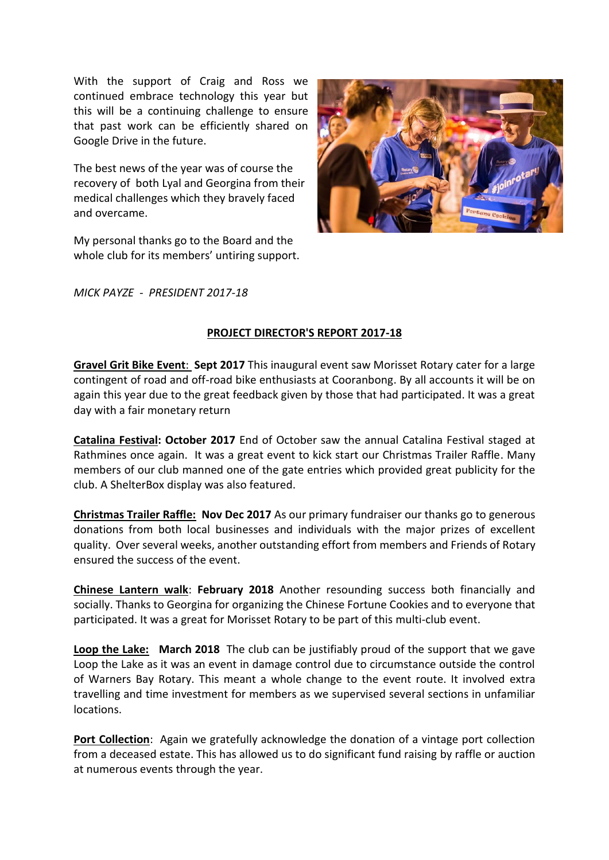With the support of Craig and Ross we continued embrace technology this year but this will be a continuing challenge to ensure that past work can be efficiently shared on Google Drive in the future.

The best news of the year was of course the recovery of both Lyal and Georgina from their medical challenges which they bravely faced and overcame.

My personal thanks go to the Board and the whole club for its members' untiring support.



*MICK PAYZE - PRESIDENT 2017-18*

#### **PROJECT DIRECTOR'S REPORT 2017-18**

**Gravel Grit Bike Event**: **Sept 2017** This inaugural event saw Morisset Rotary cater for a large contingent of road and off-road bike enthusiasts at Cooranbong. By all accounts it will be on again this year due to the great feedback given by those that had participated. It was a great day with a fair monetary return

**Catalina Festival: October 2017** End of October saw the annual Catalina Festival staged at Rathmines once again. It was a great event to kick start our Christmas Trailer Raffle. Many members of our club manned one of the gate entries which provided great publicity for the club. A ShelterBox display was also featured.

**Christmas Trailer Raffle: Nov Dec 2017** As our primary fundraiser our thanks go to generous donations from both local businesses and individuals with the major prizes of excellent quality. Over several weeks, another outstanding effort from members and Friends of Rotary ensured the success of the event.

**Chinese Lantern walk**: **February 2018** Another resounding success both financially and socially. Thanks to Georgina for organizing the Chinese Fortune Cookies and to everyone that participated. It was a great for Morisset Rotary to be part of this multi-club event.

**Loop the Lake: March 2018** The club can be justifiably proud of the support that we gave Loop the Lake as it was an event in damage control due to circumstance outside the control of Warners Bay Rotary. This meant a whole change to the event route. It involved extra travelling and time investment for members as we supervised several sections in unfamiliar locations.

**Port Collection**: Again we gratefully acknowledge the donation of a vintage port collection from a deceased estate. This has allowed us to do significant fund raising by raffle or auction at numerous events through the year.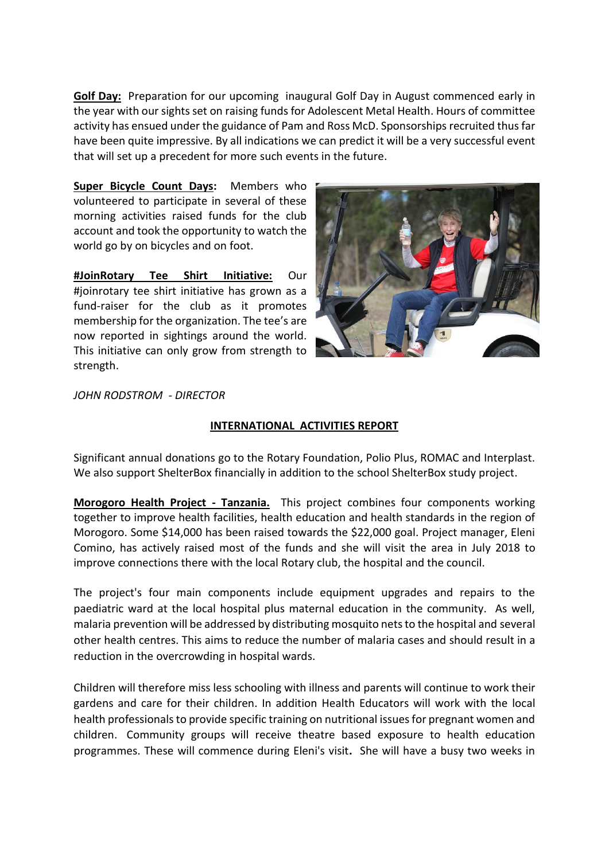**Golf Day:** Preparation for our upcoming inaugural Golf Day in August commenced early in the year with our sights set on raising funds for Adolescent Metal Health. Hours of committee activity has ensued under the guidance of Pam and Ross McD. Sponsorships recruited thus far have been quite impressive. By all indications we can predict it will be a very successful event that will set up a precedent for more such events in the future.

**Super Bicycle Count Days:** Members who volunteered to participate in several of these morning activities raised funds for the club account and took the opportunity to watch the world go by on bicycles and on foot.

**#JoinRotary Tee Shirt Initiative:** Our #joinrotary tee shirt initiative has grown as a fund-raiser for the club as it promotes membership for the organization. The tee's are now reported in sightings around the world. This initiative can only grow from strength to strength.



*JOHN RODSTROM - DIRECTOR* 

#### **INTERNATIONAL ACTIVITIES REPORT**

Significant annual donations go to the Rotary Foundation, Polio Plus, ROMAC and Interplast. We also support ShelterBox financially in addition to the school ShelterBox study project.

**Morogoro Health Project - Tanzania.** This project combines four components working together to improve health facilities, health education and health standards in the region of Morogoro. Some \$14,000 has been raised towards the \$22,000 goal. Project manager, Eleni Comino, has actively raised most of the funds and she will visit the area in July 2018 to improve connections there with the local Rotary club, the hospital and the council.

The project's four main components include equipment upgrades and repairs to the paediatric ward at the local hospital plus maternal education in the community. As well, malaria prevention will be addressed by distributing mosquito nets to the hospital and several other health centres. This aims to reduce the number of malaria cases and should result in a reduction in the overcrowding in hospital wards.

Children will therefore miss less schooling with illness and parents will continue to work their gardens and care for their children. In addition Health Educators will work with the local health professionals to provide specific training on nutritional issues for pregnant women and children. Community groups will receive theatre based exposure to health education programmes. These will commence during Eleni's visit**.** She will have a busy two weeks in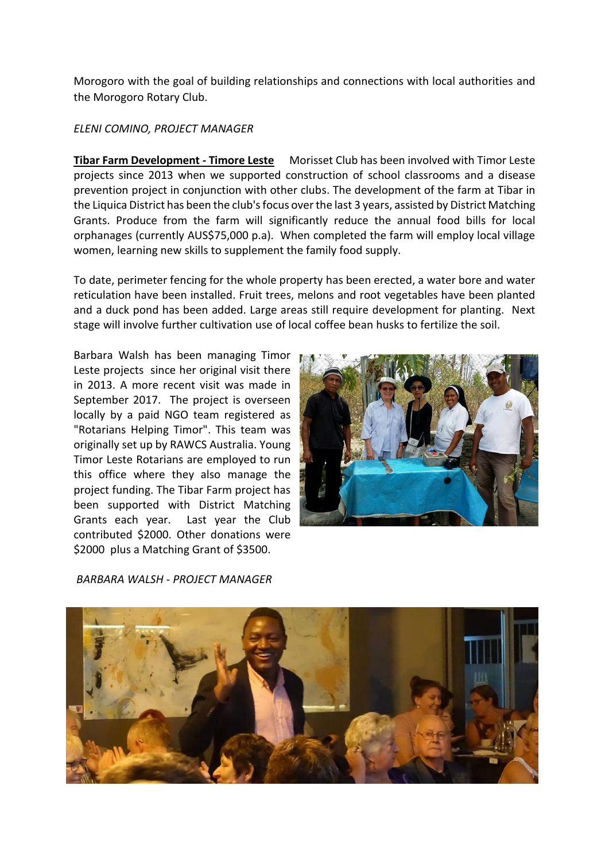Morogoro with the goal of building relationships and connections with local authorities and the Morogoro Rotary Club.

#### *ELENI COMINO, PROJECT MANAGER*

**Tibar Farm Development - Timore Leste** Morisset Club has been involved with Timor Leste projects since 2013 when we supported construction of school classrooms and a disease prevention project in conjunction with other clubs. The development of the farm at Tibar in the Liquica District has been the club's focus over the last 3 years, assisted by District Matching Grants. Produce from the farm will significantly reduce the annual food bills for local orphanages (currently AUS\$75,000 p.a). When completed the farm will employ local village women, learning new skills to supplement the family food supply.

To date, perimeter fencing for the whole property has been erected, a water bore and water reticulation have been installed. Fruit trees, melons and root vegetables have been planted and a duck pond has been added. Large areas still require development for planting. Next stage will involve further cultivation use of local coffee bean husks to fertilize the soil.

Barbara Walsh has been managing Timor Leste projects since her original visit there in 2013. A more recent visit was made in September 2017. The project is overseen locally by a paid NGO team registered as "Rotarians Helping Timor". This team was originally set up by RAWCS Australia. Young Timor Leste Rotarians are employed to run this office where they also manage the project funding. The Tibar Farm project has been supported with District Matching Grants each year. Last year the Club contributed \$2000. Other donations were \$2000 plus a Matching Grant of \$3500.



*BARBARA WALSH - PROJECT MANAGER*

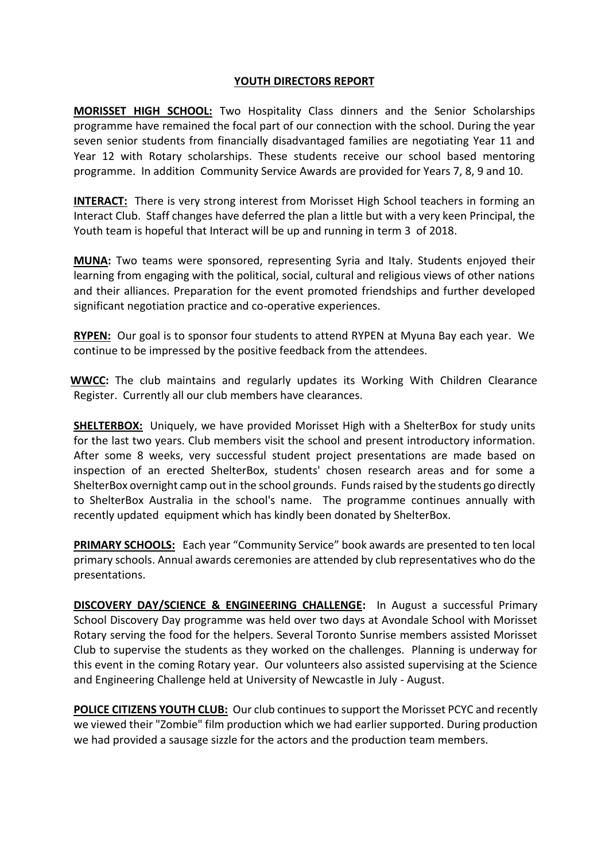#### **YOUTH DIRECTORS REPORT**

**MORISSET HIGH SCHOOL:** Two Hospitality Class dinners and the Senior Scholarships programme have remained the focal part of our connection with the school. During the year seven senior students from financially disadvantaged families are negotiating Year 11 and Year 12 with Rotary scholarships. These students receive our school based mentoring programme. In addition Community Service Awards are provided for Years 7, 8, 9 and 10.

**INTERACT:** There is very strong interest from Morisset High School teachers in forming an Interact Club. Staff changes have deferred the plan a little but with a very keen Principal, the Youth team is hopeful that Interact will be up and running in term 3 of 2018.

**MUNA:** Two teams were sponsored, representing Syria and Italy. Students enjoyed their learning from engaging with the political, social, cultural and religious views of other nations and their alliances. Preparation for the event promoted friendships and further developed significant negotiation practice and co-operative experiences.

**RYPEN:** Our goal is to sponsor four students to attend RYPEN at Myuna Bay each year. We continue to be impressed by the positive feedback from the attendees.

 **WWCC:** The club maintains and regularly updates its Working With Children Clearance Register. Currently all our club members have clearances.

**SHELTERBOX:** Uniquely, we have provided Morisset High with a ShelterBox for study units for the last two years. Club members visit the school and present introductory information. After some 8 weeks, very successful student project presentations are made based on inspection of an erected ShelterBox, students' chosen research areas and for some a ShelterBox overnight camp out in the school grounds. Funds raised by the students go directly to ShelterBox Australia in the school's name. The programme continues annually with recently updated equipment which has kindly been donated by ShelterBox.

**PRIMARY SCHOOLS:** Each year "Community Service" book awards are presented to ten local primary schools. Annual awards ceremonies are attended by club representatives who do the presentations.

**DISCOVERY DAY/SCIENCE & ENGINEERING CHALLENGE:** In August a successful Primary School Discovery Day programme was held over two days at Avondale School with Morisset Rotary serving the food for the helpers. Several Toronto Sunrise members assisted Morisset Club to supervise the students as they worked on the challenges. Planning is underway for this event in the coming Rotary year. Our volunteers also assisted supervising at the Science and Engineering Challenge held at University of Newcastle in July - August.

**POLICE CITIZENS YOUTH CLUB:** Our club continues to support the Morisset PCYC and recently we viewed their "Zombie" film production which we had earlier supported. During production we had provided a sausage sizzle for the actors and the production team members.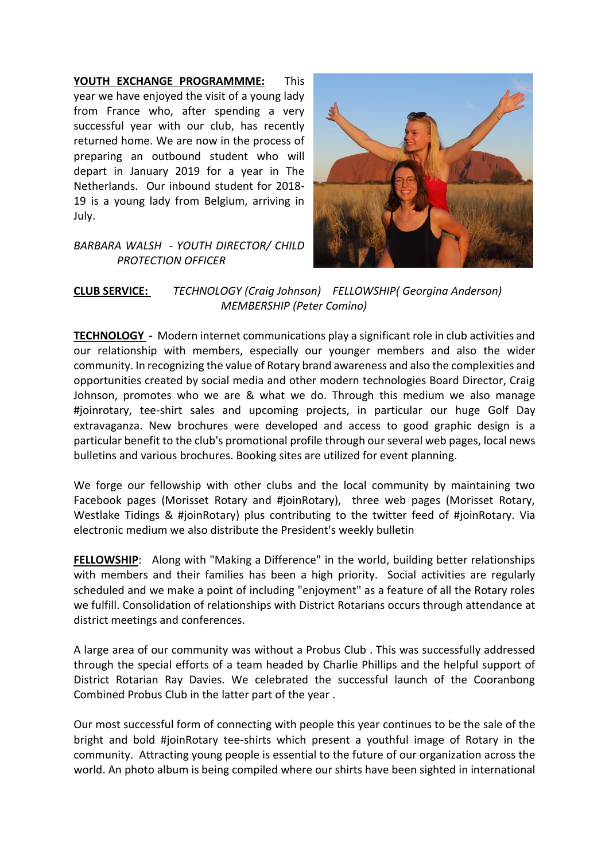**YOUTH EXCHANGE PROGRAMMME:** This year we have enjoyed the visit of a young lady from France who, after spending a very successful year with our club, has recently returned home. We are now in the process of preparing an outbound student who will depart in January 2019 for a year in The Netherlands. Our inbound student for 2018- 19 is a young lady from Belgium, arriving in July.



### *BARBARA WALSH - YOUTH DIRECTOR/ CHILD PROTECTION OFFICER*

#### **CLUB SERVICE:** *TECHNOLOGY (Craig Johnson) FELLOWSHIP( Georgina Anderson) MEMBERSHIP (Peter Comino)*

**TECHNOLOGY -** Modern internet communications play a significant role in club activities and our relationship with members, especially our younger members and also the wider community. In recognizing the value of Rotary brand awareness and also the complexities and opportunities created by social media and other modern technologies Board Director, Craig Johnson, promotes who we are & what we do. Through this medium we also manage #joinrotary, tee-shirt sales and upcoming projects, in particular our huge Golf Day extravaganza. New brochures were developed and access to good graphic design is a particular benefit to the club's promotional profile through our several web pages, local news bulletins and various brochures. Booking sites are utilized for event planning.

We forge our fellowship with other clubs and the local community by maintaining two Facebook pages (Morisset Rotary and #joinRotary), three web pages (Morisset Rotary, Westlake Tidings & #joinRotary) plus contributing to the twitter feed of #joinRotary. Via electronic medium we also distribute the President's weekly bulletin

**FELLOWSHIP:** Along with "Making a Difference" in the world, building better relationships with members and their families has been a high priority. Social activities are regularly scheduled and we make a point of including "enjoyment" as a feature of all the Rotary roles we fulfill. Consolidation of relationships with District Rotarians occurs through attendance at district meetings and conferences.

A large area of our community was without a Probus Club . This was successfully addressed through the special efforts of a team headed by Charlie Phillips and the helpful support of District Rotarian Ray Davies. We celebrated the successful launch of the Cooranbong Combined Probus Club in the latter part of the year .

Our most successful form of connecting with people this year continues to be the sale of the bright and bold #joinRotary tee-shirts which present a youthful image of Rotary in the community. Attracting young people is essential to the future of our organization across the world. An photo album is being compiled where our shirts have been sighted in international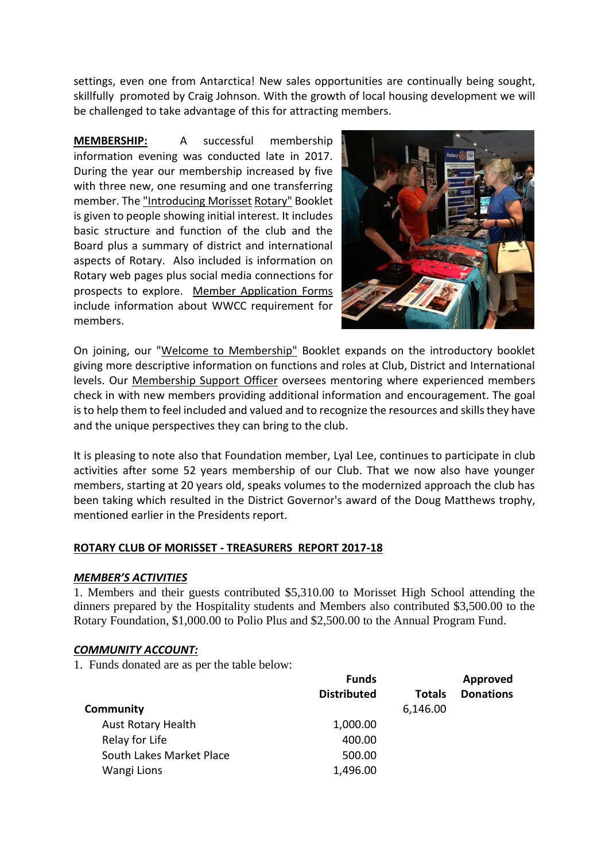settings, even one from Antarctica! New sales opportunities are continually being sought, skillfully promoted by Craig Johnson. With the growth of local housing development we will be challenged to take advantage of this for attracting members.

**MEMBERSHIP:** A successful membership information evening was conducted late in 2017. During the year our membership increased by five with three new, one resuming and one transferring member. The "Introducing Morisset Rotary" Booklet is given to people showing initial interest. It includes basic structure and function of the club and the Board plus a summary of district and international aspects of Rotary. Also included is information on Rotary web pages plus social media connections for prospects to explore. Member Application Forms include information about WWCC requirement for members.



On joining, our "Welcome to Membership" Booklet expands on the introductory booklet giving more descriptive information on functions and roles at Club, District and International levels. Our Membership Support Officer oversees mentoring where experienced members check in with new members providing additional information and encouragement. The goal is to help them to feel included and valued and to recognize the resources and skills they have and the unique perspectives they can bring to the club.

It is pleasing to note also that Foundation member, Lyal Lee, continues to participate in club activities after some 52 years membership of our Club. That we now also have younger members, starting at 20 years old, speaks volumes to the modernized approach the club has been taking which resulted in the District Governor's award of the Doug Matthews trophy, mentioned earlier in the Presidents report.

#### **ROTARY CLUB OF MORISSET - TREASURERS REPORT 2017-18**

#### *MEMBER'S ACTIVITIES*

1. Members and their guests contributed \$5,310.00 to Morisset High School attending the dinners prepared by the Hospitality students and Members also contributed \$3,500.00 to the Rotary Foundation, \$1,000.00 to Polio Plus and \$2,500.00 to the Annual Program Fund.

#### *COMMUNITY ACCOUNT:*

1. Funds donated are as per the table below:

|                           | <b>Funds</b>       |               | Approved         |
|---------------------------|--------------------|---------------|------------------|
|                           | <b>Distributed</b> | <b>Totals</b> | <b>Donations</b> |
| Community                 |                    | 6,146.00      |                  |
| <b>Aust Rotary Health</b> | 1,000.00           |               |                  |
| Relay for Life            | 400.00             |               |                  |
| South Lakes Market Place  | 500.00             |               |                  |
| Wangi Lions               | 1,496.00           |               |                  |
|                           |                    |               |                  |